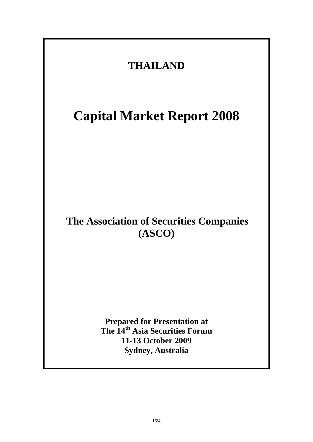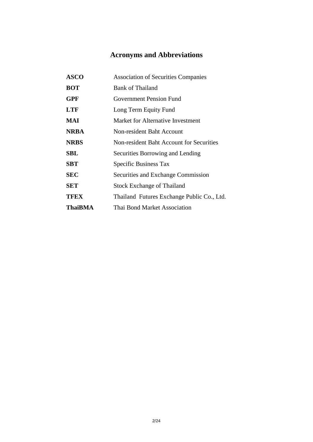### **Acronyms and Abbreviations**

| <b>ASCO</b>    | <b>Association of Securities Companies</b> |
|----------------|--------------------------------------------|
| <b>BOT</b>     | <b>Bank of Thailand</b>                    |
| <b>GPF</b>     | <b>Government Pension Fund</b>             |
| <b>LTF</b>     | Long Term Equity Fund                      |
| MAI            | Market for Alternative Investment          |
| <b>NRBA</b>    | Non-resident Baht Account                  |
| <b>NRBS</b>    | Non-resident Baht Account for Securities   |
| <b>SBL</b>     | Securities Borrowing and Lending           |
| <b>SBT</b>     | Specific Business Tax                      |
| <b>SEC</b>     | Securities and Exchange Commission         |
| <b>SET</b>     | <b>Stock Exchange of Thailand</b>          |
| <b>TFEX</b>    | Thailand Futures Exchange Public Co., Ltd. |
| <b>ThaiBMA</b> | Thai Bond Market Association               |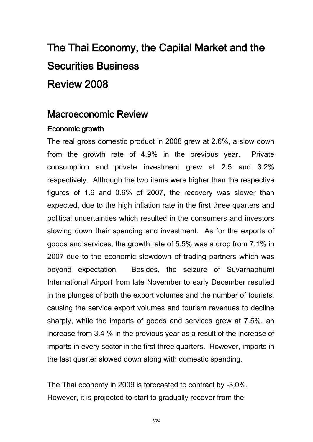# The Thai Economy, the Capital Market and the Securities Business Review 2008

## Macroeconomic Review

#### Economic growth

The real gross domestic product in 2008 grew at 2.6%, a slow down from the growth rate of 4.9% in the previous year. Private consumption and private investment grew at 2.5 and 3.2% respectively. Although the two items were higher than the respective figures of 1.6 and 0.6% of 2007, the recovery was slower than expected, due to the high inflation rate in the first three quarters and political uncertainties which resulted in the consumers and investors slowing down their spending and investment. As for the exports of goods and services, the growth rate of 5.5% was a drop from 7.1% in 2007 due to the economic slowdown of trading partners which was beyond expectation. Besides, the seizure of Suvarnabhumi International Airport from late November to early December resulted in the plunges of both the export volumes and the number of tourists, causing the service export volumes and tourism revenues to decline sharply, while the imports of goods and services grew at 7.5%, an increase from 3.4 % in the previous year as a result of the increase of imports in every sector in the first three quarters. However, imports in the last quarter slowed down along with domestic spending.

The Thai economy in 2009 is forecasted to contract by -3.0%. However, it is projected to start to gradually recover from the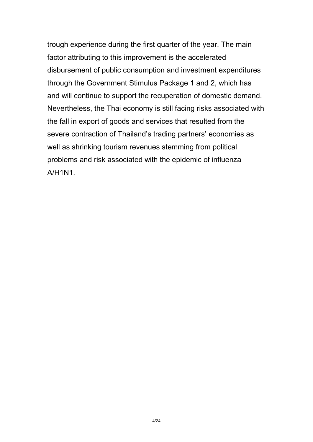trough experience during the first quarter of the year. The main factor attributing to this improvement is the accelerated disbursement of public consumption and investment expenditures through the Government Stimulus Package 1 and 2, which has and will continue to support the recuperation of domestic demand. Nevertheless, the Thai economy is still facing risks associated with the fall in export of goods and services that resulted from the severe contraction of Thailand's trading partners' economies as well as shrinking tourism revenues stemming from political problems and risk associated with the epidemic of influenza A/H1N1.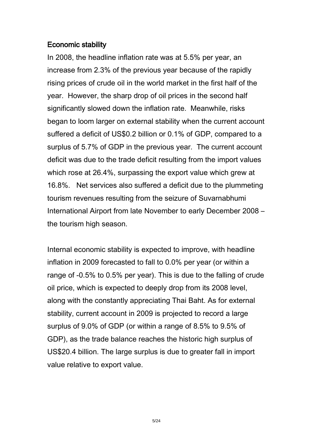#### Economic stability

In 2008, the headline inflation rate was at 5.5% per year, an increase from 2.3% of the previous year because of the rapidly rising prices of crude oil in the world market in the first half of the year. However, the sharp drop of oil prices in the second half significantly slowed down the inflation rate. Meanwhile, risks began to loom larger on external stability when the current account suffered a deficit of US\$0.2 billion or 0.1% of GDP, compared to a surplus of 5.7% of GDP in the previous year. The current account deficit was due to the trade deficit resulting from the import values which rose at 26.4%, surpassing the export value which grew at 16.8%. Net services also suffered a deficit due to the plummeting tourism revenues resulting from the seizure of Suvarnabhumi International Airport from late November to early December 2008 – the tourism high season.

Internal economic stability is expected to improve, with headline inflation in 2009 forecasted to fall to 0.0% per year (or within a range of -0.5% to 0.5% per year). This is due to the falling of crude oil price, which is expected to deeply drop from its 2008 level, along with the constantly appreciating Thai Baht. As for external stability, current account in 2009 is projected to record a large surplus of 9.0% of GDP (or within a range of 8.5% to 9.5% of GDP), as the trade balance reaches the historic high surplus of US\$20.4 billion. The large surplus is due to greater fall in import value relative to export value.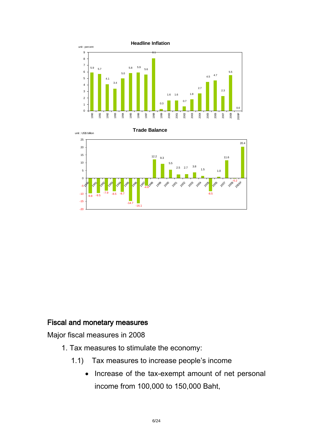



### Fiscal and monetary measures

Major fiscal measures in 2008

- 1. Tax measures to stimulate the economy:
	- 1.1) Tax measures to increase people's income
		- Increase of the tax-exempt amount of net personal income from 100,000 to 150,000 Baht,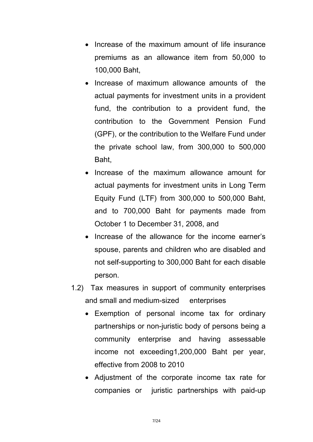- Increase of the maximum amount of life insurance premiums as an allowance item from 50,000 to 100,000 Baht,
- Increase of maximum allowance amounts of the actual payments for investment units in a provident fund, the contribution to a provident fund, the contribution to the Government Pension Fund (GPF), or the contribution to the Welfare Fund under the private school law, from 300,000 to 500,000 Baht,
- Increase of the maximum allowance amount for actual payments for investment units in Long Term Equity Fund (LTF) from 300,000 to 500,000 Baht, and to 700,000 Baht for payments made from October 1 to December 31, 2008, and
- Increase of the allowance for the income earner's spouse, parents and children who are disabled and not self-supporting to 300,000 Baht for each disable person.
- 1.2) Tax measures in support of community enterprises and small and medium-sized enterprises
	- Exemption of personal income tax for ordinary partnerships or non-juristic body of persons being a community enterprise and having assessable income not exceeding1,200,000 Baht per year, effective from 2008 to 2010
	- Adjustment of the corporate income tax rate for companies or juristic partnerships with paid-up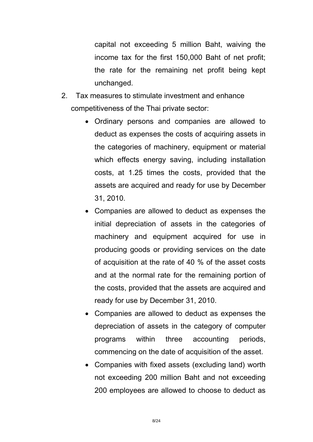capital not exceeding 5 million Baht, waiving the income tax for the first 150,000 Baht of net profit; the rate for the remaining net profit being kept unchanged.

- 2. Tax measures to stimulate investment and enhance competitiveness of the Thai private sector:
	- Ordinary persons and companies are allowed to deduct as expenses the costs of acquiring assets in the categories of machinery, equipment or material which effects energy saving, including installation costs, at 1.25 times the costs, provided that the assets are acquired and ready for use by December 31, 2010.
	- Companies are allowed to deduct as expenses the initial depreciation of assets in the categories of machinery and equipment acquired for use in producing goods or providing services on the date of acquisition at the rate of 40 % of the asset costs and at the normal rate for the remaining portion of the costs, provided that the assets are acquired and ready for use by December 31, 2010.
	- Companies are allowed to deduct as expenses the depreciation of assets in the category of computer programs within three accounting periods, commencing on the date of acquisition of the asset.
	- Companies with fixed assets (excluding land) worth not exceeding 200 million Baht and not exceeding 200 employees are allowed to choose to deduct as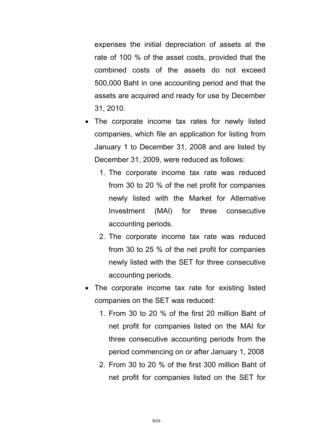expenses the initial depreciation of assets at the rate of 100 % of the asset costs, provided that the combined costs of the assets do not exceed 500,000 Baht in one accounting period and that the assets are acquired and ready for use by December 31, 2010.

- The corporate income tax rates for newly listed companies, which file an application for listing from January 1 to December 31, 2008 and are listed by December 31, 2009, were reduced as follows:
	- 1. The corporate income tax rate was reduced from 30 to 20 % of the net profit for companies newly listed with the Market for Alternative Investment (MAI) for three consecutive accounting periods.
	- 2. The corporate income tax rate was reduced from 30 to 25 % of the net profit for companies newly listed with the SET for three consecutive accounting periods.
- The corporate income tax rate for existing listed companies on the SET was reduced:
	- 1. From 30 to 20 % of the first 20 million Baht of net profit for companies listed on the MAI for three consecutive accounting periods from the period commencing on or after January 1, 2008
	- 2. From 30 to 20 % of the first 300 million Baht of net profit for companies listed on the SET for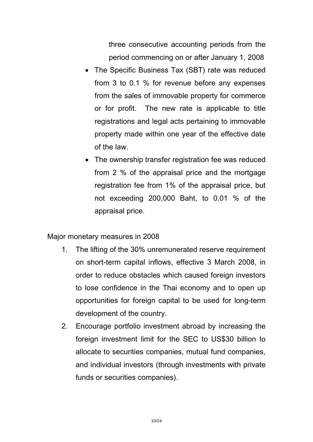three consecutive accounting periods from the period commencing on or after January 1, 2008

- The Specific Business Tax (SBT) rate was reduced from 3 to 0.1 % for revenue before any expenses from the sales of immovable property for commerce or for profit. The new rate is applicable to title registrations and legal acts pertaining to immovable property made within one year of the effective date of the law.
- The ownership transfer registration fee was reduced from 2 % of the appraisal price and the mortgage registration fee from 1% of the appraisal price, but not exceeding 200,000 Baht, to 0.01 % of the appraisal price.

Major monetary measures in 2008

- 1. The lifting of the 30% unremunerated reserve requirement on short-term capital inflows, effective 3 March 2008, in order to reduce obstacles which caused foreign investors to lose confidence in the Thai economy and to open up opportunities for foreign capital to be used for long-term development of the country.
- 2. Encourage portfolio investment abroad by increasing the foreign investment limit for the SEC to US\$30 billion to allocate to securities companies, mutual fund companies, and individual investors (through investments with private funds or securities companies).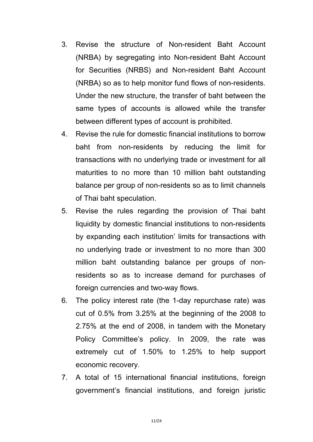- 3. Revise the structure of Non-resident Baht Account (NRBA) by segregating into Non-resident Baht Account for Securities (NRBS) and Non-resident Baht Account (NRBA) so as to help monitor fund flows of non-residents. Under the new structure, the transfer of baht between the same types of accounts is allowed while the transfer between different types of account is prohibited.
- 4. Revise the rule for domestic financial institutions to borrow baht from non-residents by reducing the limit for transactions with no underlying trade or investment for all maturities to no more than 10 million baht outstanding balance per group of non-residents so as to limit channels of Thai baht speculation.
- 5. Revise the rules regarding the provision of Thai baht liquidity by domestic financial institutions to non-residents by expanding each institution' limits for transactions with no underlying trade or investment to no more than 300 million baht outstanding balance per groups of nonresidents so as to increase demand for purchases of foreign currencies and two-way flows.
- 6. The policy interest rate (the 1-day repurchase rate) was cut of 0.5% from 3.25% at the beginning of the 2008 to 2.75% at the end of 2008, in tandem with the Monetary Policy Committee's policy. In 2009, the rate was extremely cut of 1.50% to 1.25% to help support economic recovery.
- 7. A total of 15 international financial institutions, foreign government's financial institutions, and foreign juristic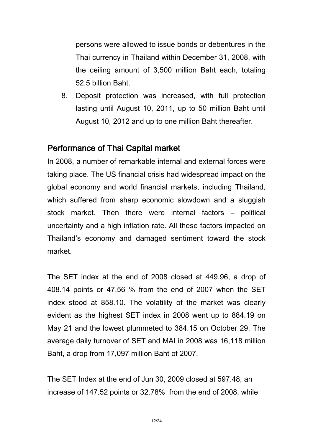persons were allowed to issue bonds or debentures in the Thai currency in Thailand within December 31, 2008, with the ceiling amount of 3,500 million Baht each, totaling 52.5 billion Baht.

8. Deposit protection was increased, with full protection lasting until August 10, 2011, up to 50 million Baht until August 10, 2012 and up to one million Baht thereafter.

### Performance of Thai Capital market

In 2008, a number of remarkable internal and external forces were taking place. The US financial crisis had widespread impact on the global economy and world financial markets, including Thailand, which suffered from sharp economic slowdown and a sluggish stock market. Then there were internal factors – political uncertainty and a high inflation rate. All these factors impacted on Thailand's economy and damaged sentiment toward the stock market.

The SET index at the end of 2008 closed at 449.96, a drop of 408.14 points or 47.56 % from the end of 2007 when the SET index stood at 858.10. The volatility of the market was clearly evident as the highest SET index in 2008 went up to 884.19 on May 21 and the lowest plummeted to 384.15 on October 29. The average daily turnover of SET and MAI in 2008 was 16,118 million Baht, a drop from 17,097 million Baht of 2007.

The SET Index at the end of Jun 30, 2009 closed at 597.48, an increase of 147.52 points or 32.78% from the end of 2008, while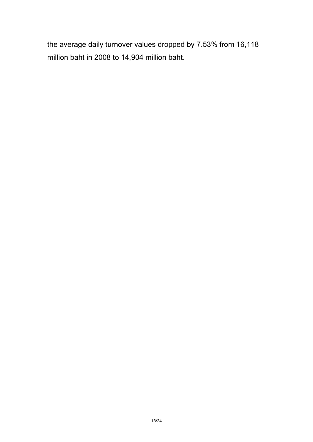the average daily turnover values dropped by 7.53% from 16,118 million baht in 2008 to 14,904 million baht.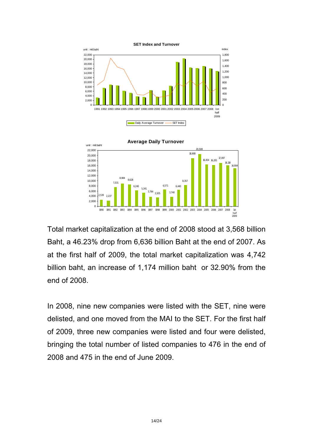

Total market capitalization at the end of 2008 stood at 3,568 billion Baht, a 46.23% drop from 6,636 billion Baht at the end of 2007. As at the first half of 2009, the total market capitalization was 4,742 billion baht, an increase of 1,174 million baht or 32.90% from the end of 2008.

In 2008, nine new companies were listed with the SET, nine were delisted, and one moved from the MAI to the SET. For the first half of 2009, three new companies were listed and four were delisted, bringing the total number of listed companies to 476 in the end of 2008 and 475 in the end of June 2009.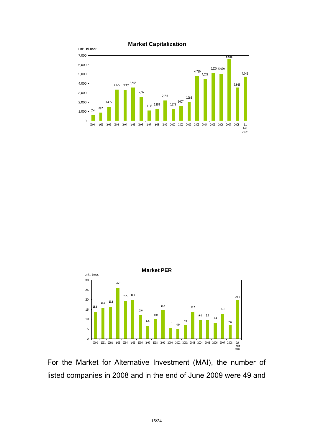





For the Market for Alternative Investment (MAI), the number of listed companies in 2008 and in the end of June 2009 were 49 and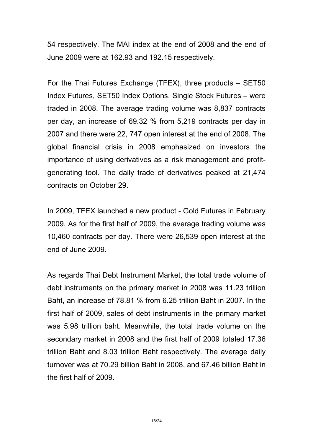54 respectively. The MAI index at the end of 2008 and the end of June 2009 were at 162.93 and 192.15 respectively.

For the Thai Futures Exchange (TFEX), three products – SET50 Index Futures, SET50 Index Options, Single Stock Futures – were traded in 2008. The average trading volume was 8,837 contracts per day, an increase of 69.32 % from 5,219 contracts per day in 2007 and there were 22, 747 open interest at the end of 2008. The global financial crisis in 2008 emphasized on investors the importance of using derivatives as a risk management and profitgenerating tool. The daily trade of derivatives peaked at 21,474 contracts on October 29.

In 2009, TFEX launched a new product - Gold Futures in February 2009. As for the first half of 2009, the average trading volume was 10,460 contracts per day. There were 26,539 open interest at the end of June 2009.

As regards Thai Debt Instrument Market, the total trade volume of debt instruments on the primary market in 2008 was 11.23 trillion Baht, an increase of 78.81 % from 6.25 trillion Baht in 2007. In the first half of 2009, sales of debt instruments in the primary market was 5.98 trillion baht. Meanwhile, the total trade volume on the secondary market in 2008 and the first half of 2009 totaled 17.36 trillion Baht and 8.03 trillion Baht respectively. The average daily turnover was at 70.29 billion Baht in 2008, and 67.46 billion Baht in the first half of 2009.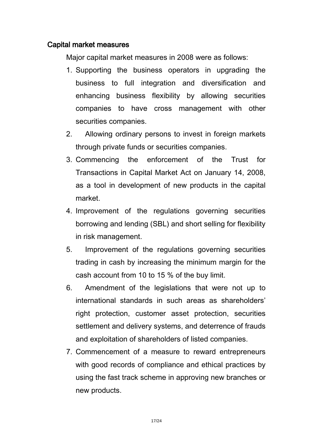#### Capital market measures

Major capital market measures in 2008 were as follows:

- 1. Supporting the business operators in upgrading the business to full integration and diversification and enhancing business flexibility by allowing securities companies to have cross management with other securities companies.
- 2. Allowing ordinary persons to invest in foreign markets through private funds or securities companies.
- 3. Commencing the enforcement of the Trust for Transactions in Capital Market Act on January 14, 2008, as a tool in development of new products in the capital market.
- 4. Improvement of the regulations governing securities borrowing and lending (SBL) and short selling for flexibility in risk management.
- 5. Improvement of the regulations governing securities trading in cash by increasing the minimum margin for the cash account from 10 to 15 % of the buy limit.
- 6. Amendment of the legislations that were not up to international standards in such areas as shareholders' right protection, customer asset protection, securities settlement and delivery systems, and deterrence of frauds and exploitation of shareholders of listed companies.
- 7. Commencement of a measure to reward entrepreneurs with good records of compliance and ethical practices by using the fast track scheme in approving new branches or new products.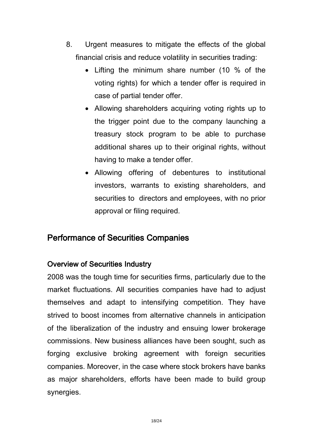- 8. Urgent measures to mitigate the effects of the global financial crisis and reduce volatility in securities trading:
	- Lifting the minimum share number (10 % of the voting rights) for which a tender offer is required in case of partial tender offer.
	- Allowing shareholders acquiring voting rights up to the trigger point due to the company launching a treasury stock program to be able to purchase additional shares up to their original rights, without having to make a tender offer.
	- Allowing offering of debentures to institutional investors, warrants to existing shareholders, and securities to directors and employees, with no prior approval or filing required.

### Performance of Securities Companies

### Overview of Securities Industry

2008 was the tough time for securities firms, particularly due to the market fluctuations. All securities companies have had to adjust themselves and adapt to intensifying competition. They have strived to boost incomes from alternative channels in anticipation of the liberalization of the industry and ensuing lower brokerage commissions. New business alliances have been sought, such as forging exclusive broking agreement with foreign securities companies. Moreover, in the case where stock brokers have banks as major shareholders, efforts have been made to build group synergies.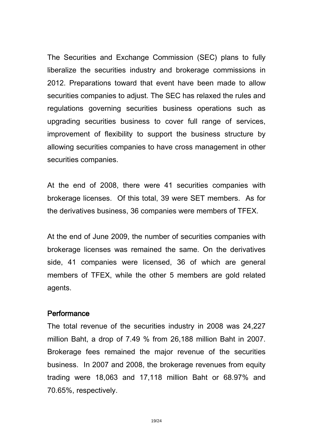The Securities and Exchange Commission (SEC) plans to fully liberalize the securities industry and brokerage commissions in 2012. Preparations toward that event have been made to allow securities companies to adjust. The SEC has relaxed the rules and regulations governing securities business operations such as upgrading securities business to cover full range of services, improvement of flexibility to support the business structure by allowing securities companies to have cross management in other securities companies.

At the end of 2008, there were 41 securities companies with brokerage licenses. Of this total, 39 were SET members. As for the derivatives business, 36 companies were members of TFEX.

At the end of June 2009, the number of securities companies with brokerage licenses was remained the same. On the derivatives side, 41 companies were licensed, 36 of which are general members of TFEX, while the other 5 members are gold related agents.

#### **Performance**

The total revenue of the securities industry in 2008 was 24,227 million Baht, a drop of 7.49 % from 26,188 million Baht in 2007. Brokerage fees remained the major revenue of the securities business. In 2007 and 2008, the brokerage revenues from equity trading were 18,063 and 17,118 million Baht or 68.97% and 70.65%, respectively.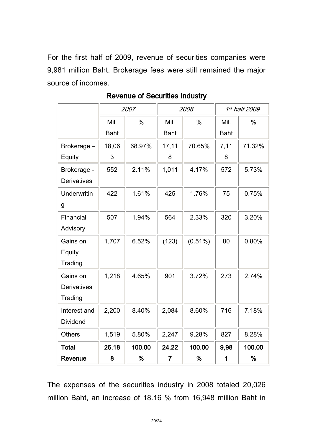For the first half of 2009, revenue of securities companies were 9,981 million Baht. Brokerage fees were still remained the major source of incomes.

|                    | 2007        |        | 2008        |            | 1st half 2009 |        |
|--------------------|-------------|--------|-------------|------------|---------------|--------|
|                    | Mil.        | $\%$   | Mil.        | $\%$       | Mil.          | $\%$   |
|                    | <b>Baht</b> |        | <b>Baht</b> |            | <b>Baht</b>   |        |
| Brokerage -        | 18,06       | 68.97% | 17,11       | 70.65%     | 7,11          | 71.32% |
| Equity             | 3           |        | 8           |            | 8             |        |
| Brokerage -        | 552         | 2.11%  | 1,011       | 4.17%      | 572           | 5.73%  |
| <b>Derivatives</b> |             |        |             |            |               |        |
| Underwritin        | 422         | 1.61%  | 425         | 1.76%      | 75            | 0.75%  |
| g                  |             |        |             |            |               |        |
| Financial          | 507         | 1.94%  | 564         | 2.33%      | 320           | 3.20%  |
| Advisory           |             |        |             |            |               |        |
| Gains on           | 1,707       | 6.52%  | (123)       | $(0.51\%)$ | 80            | 0.80%  |
| Equity             |             |        |             |            |               |        |
| Trading            |             |        |             |            |               |        |
| Gains on           | 1,218       | 4.65%  | 901         | 3.72%      | 273           | 2.74%  |
| <b>Derivatives</b> |             |        |             |            |               |        |
| Trading            |             |        |             |            |               |        |
| Interest and       | 2,200       | 8.40%  | 2,084       | 8.60%      | 716           | 7.18%  |
| <b>Dividend</b>    |             |        |             |            |               |        |
| <b>Others</b>      | 1,519       | 5.80%  | 2,247       | 9.28%      | 827           | 8.28%  |
| <b>Total</b>       | 26,18       | 100.00 | 24,22       | 100.00     | 9,98          | 100.00 |
| Revenue            | 8           | %      | 7           | %          | 1             | %      |

Revenue of Securities Industry

The expenses of the securities industry in 2008 totaled 20,026 million Baht, an increase of 18.16 % from 16,948 million Baht in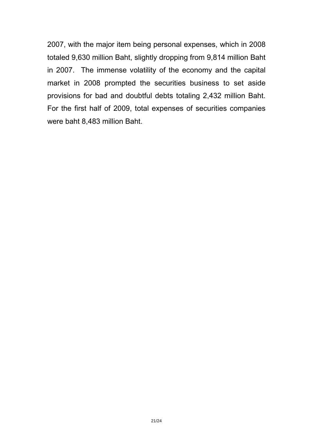2007, with the major item being personal expenses, which in 2008 totaled 9,630 million Baht, slightly dropping from 9,814 million Baht in 2007. The immense volatility of the economy and the capital market in 2008 prompted the securities business to set aside provisions for bad and doubtful debts totaling 2,432 million Baht. For the first half of 2009, total expenses of securities companies were baht 8,483 million Baht.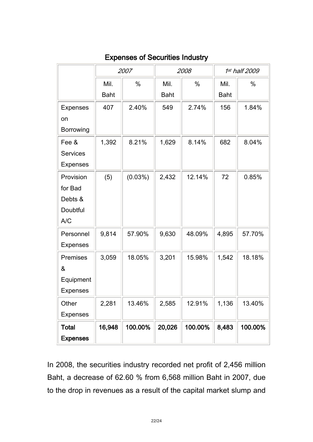|                 | 2007        |            | 2008        |               | 1st half 2009 |         |
|-----------------|-------------|------------|-------------|---------------|---------------|---------|
|                 | Mil.        | $\%$       | Mil.        | $\frac{0}{0}$ | Mil.          | $\%$    |
|                 | <b>Baht</b> |            | <b>Baht</b> |               | <b>Baht</b>   |         |
| <b>Expenses</b> | 407         | 2.40%      | 549         | 2.74%         | 156           | 1.84%   |
| on              |             |            |             |               |               |         |
| Borrowing       |             |            |             |               |               |         |
| Fee &           | 1,392       | 8.21%      | 1,629       | 8.14%         | 682           | 8.04%   |
| <b>Services</b> |             |            |             |               |               |         |
| <b>Expenses</b> |             |            |             |               |               |         |
| Provision       | (5)         | $(0.03\%)$ | 2,432       | 12.14%        | 72            | 0.85%   |
| for Bad         |             |            |             |               |               |         |
| Debts &         |             |            |             |               |               |         |
| Doubtful        |             |            |             |               |               |         |
| A/C             |             |            |             |               |               |         |
| Personnel       | 9,814       | 57.90%     | 9,630       | 48.09%        | 4,895         | 57.70%  |
| <b>Expenses</b> |             |            |             |               |               |         |
| Premises        | 3,059       | 18.05%     | 3,201       | 15.98%        | 1,542         | 18.18%  |
| &               |             |            |             |               |               |         |
| Equipment       |             |            |             |               |               |         |
| <b>Expenses</b> |             |            |             |               |               |         |
| Other           | 2,281       | 13.46%     | 2,585       | 12.91%        | 1,136         | 13.40%  |
| <b>Expenses</b> |             |            |             |               |               |         |
| <b>Total</b>    | 16,948      | 100.00%    | 20,026      | 100.00%       | 8,483         | 100.00% |
| <b>Expenses</b> |             |            |             |               |               |         |

### Expenses of Securities Industry

In 2008, the securities industry recorded net profit of 2,456 million Baht, a decrease of 62.60 % from 6,568 million Baht in 2007, due to the drop in revenues as a result of the capital market slump and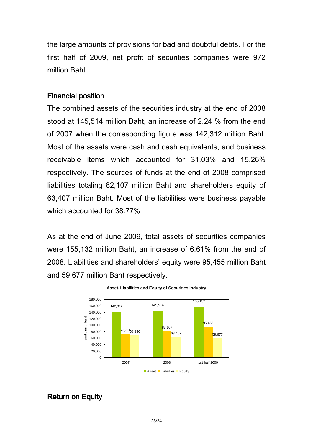the large amounts of provisions for bad and doubtful debts. For the first half of 2009, net profit of securities companies were 972 million Baht.

#### Financial position

The combined assets of the securities industry at the end of 2008 stood at 145,514 million Baht, an increase of 2.24 % from the end of 2007 when the corresponding figure was 142,312 million Baht. Most of the assets were cash and cash equivalents, and business receivable items which accounted for 31.03% and 15.26% respectively. The sources of funds at the end of 2008 comprised liabilities totaling 82,107 million Baht and shareholders equity of 63,407 million Baht. Most of the liabilities were business payable which accounted for 38.77%

As at the end of June 2009, total assets of securities companies were 155,132 million Baht, an increase of 6.61% from the end of 2008. Liabilities and shareholders' equity were 95,455 million Baht and 59,677 million Baht respectively.



#### **Asset, Liabilities and Equity of Securities Industry**

#### Return on Equity